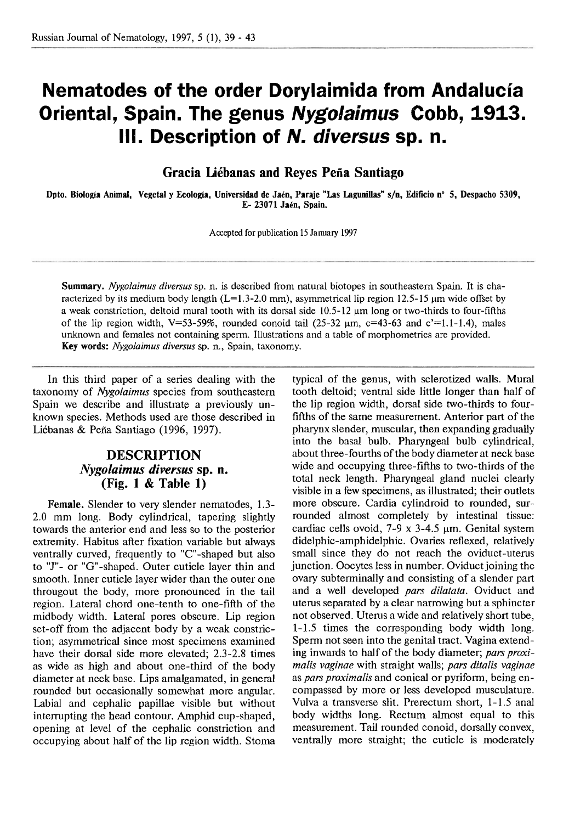## **Nematodes of the order Dorylaimida from Andalucia Oriental, Spain. The genus Nygolaimus Cobb, 1913. Ill. Description of N. diversus sp. n.**

**Gracia Liébanas and Reyes Peña Santiago** 

Dpto. Biología Animal, Vegetal y Ecología, Universidad de Jaén, Paraje "Las Lagunillas" s/n, Edificio n° 5, Despacho 5309, **E- 23071 Jakn, Spain.** 

**Accepted** for publication 15 January **1997** 

*Summary. Nygolaimus diversus* sp. *n.* is described from natural biotopes in southeastern Spain. It is characterized by its medium body length (L=1.3-2.0 mm), asymmetrical lip region 12.5-15  $\mu$ m wide offset by a weak constriction, deltoid mural tooth with its dorsal side 10.5-12  $\mu$ m long or two-thirds to four-fifths of the lip region width, V=53-59%, rounded conoid tail  $(25-32 \mu m, c=43-63 \text{ and } c'=1.1-1.4)$ , males unknown and females not containing sperm. Illustrations and a table of morphometrics are provided. *Key words: Nygolaimus diversus* sp. n., Spain, taxonomy.

In this third paper of a series dealing with the taxonomy of *Nygolaimus* species from southeastern Spain we describe and illustrate a previously unknown species. Methods used are those described in Liébanas & Peña Santiago (1996, 1997).

## **DESCRIPTION**  *Nygolaimus* **diversus sp. n. (Fig. 1** & **Table 1)**

**Female.** Slender to very slender nematodes, 1.3-2.0 mm long. Body cylindrical, tapering slightly towards the anterior end and less so to the posterior extremity. Habitus after fixation variable but always ventrally curved, frequently to "C"-shaped but also to "J"- or "G"-shaped. Outer cuticle layer thin and smooth. Inner cuticle layer wider than the outer one througout the body, more pronounced in the tail region. Lateral chord one-tenth to one-fifth of the midbody width. Lateral pores obscure. Lip region set-off from the adjacent body by a weak constriction; asymmetrical since most specimens examined have their dorsal side more elevated; 2.3-2.8 times as wide as high and about one-third of the body diameter at neck base. Lips amalgamated, in general rounded but occasionally somewhat more angular. Labial and cephalic papillae visible but without interrupting the head contour. Amphid cup-shaped, opening at level of the cephalic constriction and occupying about half of the lip region width. Stoma

typical of the genus, with sclerotized walls. Mural tooth deltoid; ventral side little longer than half of the lip region width, dorsal side two-thirds to fourfifths of the same measurement. Anterior part of the pharynx slender, muscular, then expanding gradually into the basal bulb. Pharyngeal bulb cylindrical, about three-fourths of the body diameter at neck base wide and occupying three-fifths to two-thirds of the total neck length. Pharyngeal gland nuclei clearly visible in a few specimens, as illustrated; their outlets more obscure. Cardia cylindroid to rounded, surrounded almost completely by intestinal tissue: cardiac cells ovoid,  $7-9 \times 3-4.5 \mu m$ . Genital system didelphic-amphidelphic. Ovaries reflexed, relatively small since they do not reach the oviduct-uterus junction. Oocytes less in number. Oviduct joining the ovary subterminally and consisting of a slender part and a well developed *pars dilatata.* Oviduct and uterus separated by a clear narrowing but a sphincter not observed. Uterus a wide and relatively short tube, 1-1.5 times the corresponding body width long. Sperm not seen into the genital tract. Vagina extending inwards to half of the body diameter; *pars proximalis vaginae* with straight walls; *pars ditalis vaginae*  as *pars proximalis* and conical or pyriform, being encompassed by more or less developed musculature. Vulva a transverse slit. Prerectum short, 1-1.5 anal body widths long. Rectum almost equal to this measurement. Tail rounded conoid, dorsally convex, ventrally more straight; the cuticle is moderately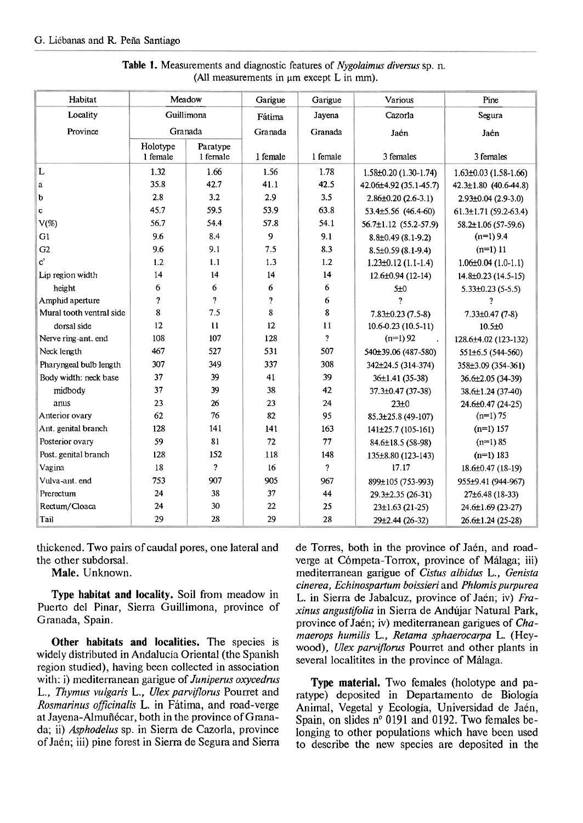| Habitat                  | Meadow                  |                     | Garigue  | Garigue                  | Various                                               | Pine                        |  |
|--------------------------|-------------------------|---------------------|----------|--------------------------|-------------------------------------------------------|-----------------------------|--|
| Locality                 | Guillimona              |                     | Fátima   | Jayena                   | Cazorla                                               | Segura                      |  |
| Province                 | Granada                 |                     | Granada  | Granada                  | Jaén                                                  | Jaén                        |  |
| Holotype                 |                         | Paratype            |          |                          |                                                       |                             |  |
|                          | 1 female                | 1 female            | 1 female | 1 female                 | 3 females                                             | 3 females                   |  |
| L                        | 1.32                    | 1.66                | 1.56     | 1.78                     | $1.58\pm0.20$ (1.30-1.74)                             | $1.63 \pm 0.03$ (1.58-1.66) |  |
| a                        | 35.8                    | 42.7                | 41.1     | 42.5                     | 42.06±4.92 (35.1-45.7)<br>$42.3 \pm 1.80$ (40.6-44.8) |                             |  |
| þ                        | 2.8                     | 3.2                 | 2.9      | 3.5                      | $2.86 \pm 0.20$ (2.6-3.1)<br>2.93±0.04 (2.9-3.0)      |                             |  |
| c                        | 45.7                    | 59.5                | 53.9     | 63.8                     | 53.4±5.56 (46.4-60)                                   | $61.3 \pm 1.71$ (59.2-63.4) |  |
| $V(\%)$                  | 56.7                    | 54.4                | 57.8     | 54.1                     | $56.7 \pm 1.12$ (55.2-57.9)                           | $58.2 \pm 1.06(57-59.6)$    |  |
| G1                       | 9.6                     | 8.4                 | 9        | 9.1                      | $8.8\pm0.49(8.1-9.2)$                                 | $(n=1)$ 9.4                 |  |
| G2                       | 9.6                     | 9.1                 | 7.5      | 8.3                      | $8.5\pm0.59(8.1-9.4)$                                 | $(n=1)$ 11                  |  |
| $\mathbf{c}^*$           | 1.2                     | 1.1                 | 1.3      | 1.2                      | $1.23 \pm 0.12$ (1.1-1.4)                             | $1.06\pm0.04(1.0-1.1)$      |  |
| Lip region width         | 14                      | 14                  | 14       | 14                       | $12.6 \pm 0.94$ (12-14)                               | 14.8±0.23 (14.5-15)         |  |
| height                   | 6                       | 6                   | 6        | 6                        | 5±0<br>$5.33\pm0.23$ (5-5.5)                          |                             |  |
| Amphid aperture          | $\overline{\mathbf{r}}$ | 2                   | 7        | 6                        | 2                                                     | 7                           |  |
| Mural tooth ventral side | 8                       | 7.5                 | 8        | 8                        | $7.83\pm0.23(7.5-8)$                                  | $7.33\pm0.47(7-8)$          |  |
| dorsal side              | 12                      | 11                  | 12       | $_{11}$                  | $10.6 - 0.23(10.5 - 11)$                              | 10.5 ± 0                    |  |
| Nerve ring-ant. end      | 108                     | 107                 | 128      | $\overline{\mathcal{L}}$ | $(n=1) 92$<br>128.6±4.02 (123-132)                    |                             |  |
| Neck length              | 467                     | 527                 | 531      | 507                      | 540±39.06 (487-580)<br>551±6.5 (544-560)              |                             |  |
| Pharyngeal bulb length   | 307                     | 349                 | 337      | 308                      | 342±24.5 (314-374)<br>358±3.09 (354-361)              |                             |  |
| Body width: neck base    | 37                      | 39                  | 41       | 39                       | $36\pm1.41(35-38)$<br>36.6±2.05 (34-39)               |                             |  |
| midbody                  | 37                      | 39                  | 38       | 42                       | 37.3±0.47 (37-38)                                     | 38.6±1.24 (37-40)           |  |
| anus                     | 23                      | 26                  | 23       | 24                       | 23±0                                                  | 24.6±0.47 (24-25)           |  |
| Anterior ovary           | 62                      | 76                  | 82       | 95                       | 85.3±25.8 (49-107)                                    | $(n=1) 75$                  |  |
| Ant. genital branch      | 128                     | 141                 | 141      | 163                      | 141±25.7 (105-161)                                    | $(n=1)$ 157                 |  |
| Posterior ovary          | 59                      | 81                  | 72       | 77                       | 84.6±18.5 (58-98)                                     | $(n=1) 85$                  |  |
| Post. genital branch     | 128                     | 152                 | 118      | 148                      | 135±8.80 (123-143)                                    | $(n=1)$ 183                 |  |
| Vagina                   | 18                      | $\boldsymbol{\eta}$ | 16       | $\pmb{\gamma}$           | 17.17                                                 | 18.6±0.47 (18-19)           |  |
| Vulva-ant. end           | 753                     | 907                 | 905      | 967                      | 899±105 (753-993)                                     | 955±9.41 (944-967)          |  |
| Prerectum                | 24                      | 38                  | 37       | 44                       | $29.3 \pm 2.35(26-31)$                                | 27±6.48 (18-33)             |  |
| Rectum/Cloaca            | 24                      | 30                  | 22       | 25                       | $23\pm1.63(21-25)$                                    | 24.6±1.69 (23-27)           |  |
| Tail                     | 29                      | 28                  | 29       | 28                       | 29±2.44 (26-32)                                       | 26.6±1.24 (25-28)           |  |

**Table** 1. Measurements and diagnostic features of *Nygolaimus diversus* sp. n. *(All measurements in µm except L in mm).* 

thickened. Two pairs of caudal pores, one lateral and the other subdorsal.

**Male.** Unknown.

**Type habitat and locality.** Soil from meadow in Puerto del Pinar, Sierra Guillimona, province of Granada, Spain.

**Other habitats and localities.** The species is widely distributed in Andalucía Oriental (the Spanish region studied), having been collected in association with: i) mediterranean garigue of *Juniperus oxycedrus*<br>
L., *Thymus vulgaris* L., *Ulex parviflorus* Pourret and<br>
Rosmarinus officinalis L. in Fátima, and road-verge<br>
animal, Vegetal y Ecología, Universidad de Jaén,<br>
at J at Jayena-Almuñécar, both in the province of Grana-<br>da: ii) *Asphodelus* sp. in Sierra de Cazorla, province<br>longing to other populations which have been used da; ii) *Asphodelus* sp. in Sierra de Cazorla, province longing to other populations which have been used<br>of Jaén; iii) pine forest in Sierra de Segura and Sierra lotted describe the new species are denosited in the

de Torres, both in the province of Jaén, and roadverge at Cómpeta-Torrox, province of Málaga; iii) mediterranean garigue of *Cistus albidus* L., *Genista cinerea, Echinospartum boissieri* and *Phlomis purpurea*  L. in Sierra de Jabalcuz, province of Jaen; iv) *Fraxinus angustifolia* in Sierra de Andujar Natural Park, province of Jaén; iv) mediterranean garigues of *Chamaerops humilis* L., *Retama sphaerocarpa* L. (Heywood), *Ulex parviflorus* Pourret and other plants in several localitites in the province of Málaga.

to describe the new species are deposited in the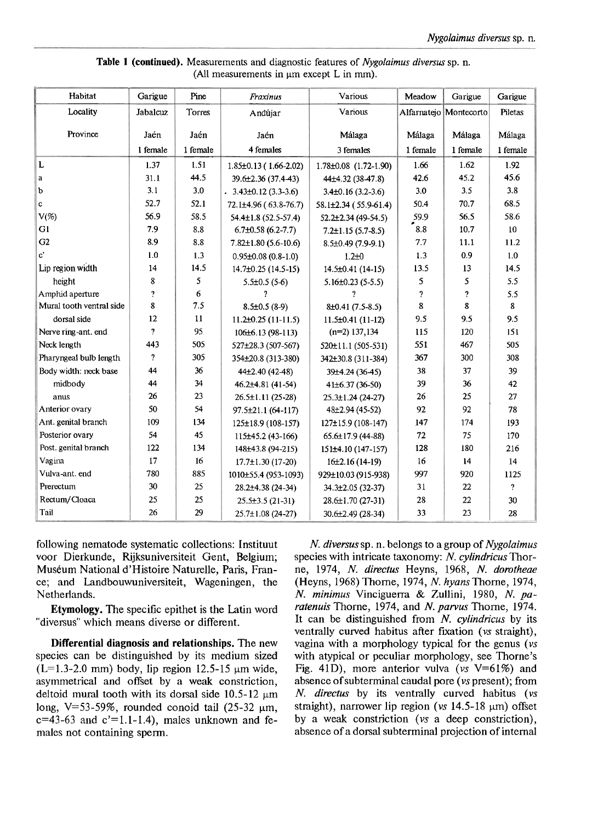| Table 1 (continued). Measurements and diagnostic features of Nygolaimus diversus sp. n. |  |  |  |  |  |  |  |  |
|-----------------------------------------------------------------------------------------|--|--|--|--|--|--|--|--|
| (All measurements in um except L in mm).                                                |  |  |  |  |  |  |  |  |

| Habitat                  | Garigue        | Pine     | Fraxinus                    | Various                           | Meadow   | Garigue  | Garigue         |
|--------------------------|----------------|----------|-----------------------------|-----------------------------------|----------|----------|-----------------|
| Locality                 | Jabalcuz       | Torres   | Andújar                     | Various<br>Alfarnatejo Montecorto |          |          | Piletas         |
| Province                 | Jaén           | Jaén     | Jaén                        | Málaga                            | Málaga   | Málaga   | Málaga          |
|                          |                |          |                             |                                   |          |          |                 |
|                          | 1 female       | 1 female | 4 females                   | 3 females                         | 1 female | 1 female | 1 female        |
| L                        | 1.37           | 1.51     | $1.85 \pm 0.13$ (1.66-2.02) | $1.78 \pm 0.08$ $(1.72 - 1.90)$   | 1.66     | 1.62     | 1.92            |
| a                        | 31.1           | 44.5     | 39.6±2.36 (37.4-43)         | 44±4.32 (38-47.8)                 | 42.6     | 45.2     | 45.6            |
| b                        | 3.1            | 3.0      | $.3.43\pm0.12(3.3-3.6)$     | $3.4\pm0.16$ (3.2-3.6)            | 3.0      | 3.5      | 3.8             |
| c                        | 52.7           | 52.1     | 72.1±4.96 (63.8-76.7)       | $58.1\pm2.34$ (55.9-61.4)         | 50.4     | 70.7     | 68.5            |
| $V(\%)$                  | 56.9           | 58.5     | $54.4 \pm 1.8$ (52.5-57.4)  | 52.2±2.34 (49-54.5)               | 59.9     | 56.5     | 58.6            |
| G1                       | 7.9            | 8.8      | $6.7\pm0.58(6.2-7.7)$       | $7.2 \pm 1.15$ (5.7-8.5)          | 8.8      | 10.7     | 10 <sup>°</sup> |
| G2                       | 8.9            | 8.8      | $7.82\pm1.80(5.6-10.6)$     | 8.5±0.49 (7.9-9.1)                | 7.7      | 11.1     | 11.2            |
| c'                       | 1.0            | 1.3      | $0.95\pm0.08$ (0.8-1.0)     | $1.2\pm0$                         | 1.3      | 0.9      | 1.0             |
| Lip region width         | 14             | 14.5     | 14.7±0.25 (14.5-15)         | $14.5 \pm 0.41$ (14-15)           | 13.5     | 13       | 14.5            |
| height                   | 8              | 5        | $5.5 \pm 0.5$ (5-6)         | $5.16 \pm 0.23$ (5-5.5)           | 5        | 5        | 5.5             |
| Amphid aperture          | $\overline{?}$ | 6        | 2                           | 7                                 | 2        | ?        | 5.5             |
| Mural tooth ventral side | 8              | 7.5      | $8.5 \pm 0.5$ (8-9)         | $8\pm0.41(7.5-8.5)$               | 8        | 8        | 8               |
| dorsal side              | 12             | 11       | $11.2\pm0.25(11-11.5)$      | $11.5 \pm 0.41$ (11-12)           | 9.5      | 9.5      | 9.5             |
| Nerve ring-ant. end      | 2              | 95       | 106±6.13 (98-113)           | $(n=2)$ 137,134                   | 115      | 120      | 151             |
| Neck length              | 443            | 505      | 527±28.3 (507-567)          | 520±11.1 (505-531)                | 551      | 467      | 505             |
| Pharyngeal bulb length   | $\gamma$       | 305      | 354±20.8 (313-380)          | 342±30.8 (311-384)                | 367      | 300      | 308             |
| Body width: neck base    | 44             | 36       | 44±2.40 (42-48)             | 39±4.24 (36-45)                   | 38       | 37       | 39              |
| midbody                  | 44             | 34       | 46.2±4.81 (41-54)           | $41\pm 6.37(36-50)$               | 39       | 36       | 42              |
| anus                     | 26             | 23       | 26.5±1.11 (25-28)           | $25.3 \pm 1.24$ (24-27)           | 26       | 25       | 27              |
| Anterior ovary           | 50             | 54       | 97.5±21.1 (64-117)          | 48±2.94 (45-52)                   | 92       | 92       | 78              |
| Ant. genital branch      | 109            | 134      | 125±18.9 (108-157)          | 127±15.9 (108-147)                | 147      | 174      | 193             |
| Posterior ovary          | 54             | 45       | 115±45.2 (43-166)           | $65.6 \pm 17.9$ (44-88)           | 72       | 75       | 170             |
| Post. genital branch     | 122            | 134      | 148±43.8 (94-215)           | 151±4.10 (147-157)                | 128      | 180      | 216             |
| Vagina                   | 17             | 16       | $17.7 \pm 1.30$ (17-20)     | $16\pm2.16(14-19)$                | 16       | 14       | 14              |
| Vulva-ant. end           | 780            | 885      | 1010±55.4 (953-1093)        | 929±10.03 (915-938)               | 997      | 920      | 1125            |
| Prerectum                | 30             | 25       | 28.2±4.38 (24-34)           | 34.3±2.05 (32-37)                 | 31       | 22       | $\overline{?}$  |
| Rectum/Cloaca            | 25             | 25       | $25.5\pm3.5(21-31)$         | 28.6±1.70 (27-31)                 | 28       | 22       | 30              |
| Tail                     | 26             | 29       | $25.7 \pm 1.08$ (24-27)     | 30.6±2.49 (28-34)                 | 33       | 23       | 28              |

following nematode systematic collections: Instituut voor Dierkunde, Rijksuniversiteit Gent, Belgium; Museum National d'Histoire Naturelle, Paris, France; and Landbouwuniversiteit, Wageningen, the Netherlands.

**Etymology.** The specific epithet is the Latin word "diversus" which means diverse or different.

**Differential diagnosis and relationships.** The new species can be distinguished by its medium sized  $(L=1.3-2.0 \text{ mm})$  body, lip region 12.5-15 µm wide, asynunetrical and offset by a weak constriction, deltoid mural tooth with its dorsal side 10.5-12  $\mu$ m long, V=53-59%, rounded conoid tail  $(25-32 \mu m,$  $c=43-63$  and  $c'=1.1-1.4$ ), males unknown and females not containing sperm.

N. diversus sp. n. belongs to a group of Nygolaimus species with intricate taxonomy: N. cylindricus Thorne, 1974, N. directus Heyns, 1968, N. dorotheae (Heyns, 1968) Thome, 1974, N. hyans Thorne, 1974, N. minimus Vinciguerra & Zullini, 1980, N. paratenuis Thorne, 1974, and N. parvus Thorne, 1974. It can be distinguished from  $N$ . *cylindricus* by its ventrally curved habitus after fixation (vs straight), vagina with a morphology typical for the genus ( $vs$ with atypical or peculiar morphology, see Thorne's Fig. 41D), more anterior vulva ( $vs$  V=61%) and absence of subterminal caudal pore (vs present); from  $N.$  directus by its ventrally curved habitus (vs straight), narrower lip region (vs  $14.5-18 \mu m$ ) offset by a weak constriction (vs a deep constriction), absence of a dorsal subterminal projection of internal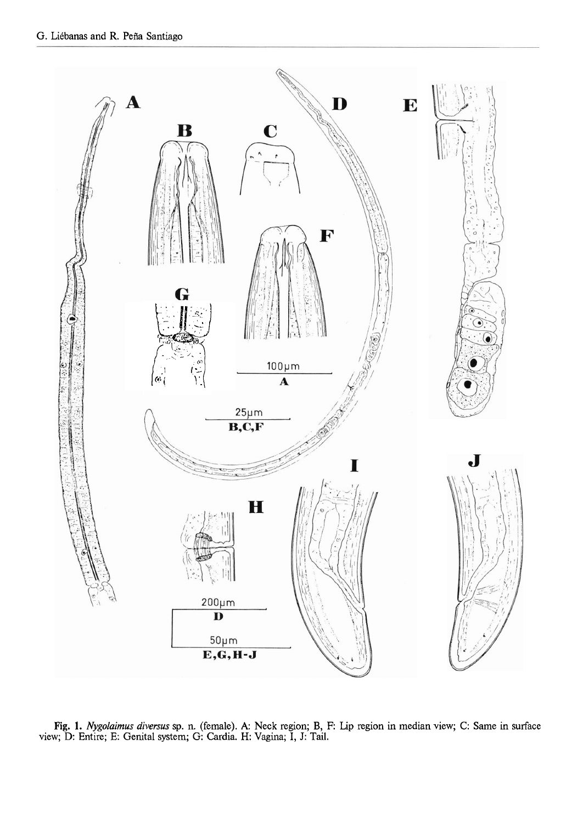

Fig. 1. Nygolaimus diversus sp. n. (female). A: Neck region; B, F: Lip region in median view; C: Same in surface view; D: Entire; E: Genital system; G: Cardia. H: Vagina; I, J: Tail.